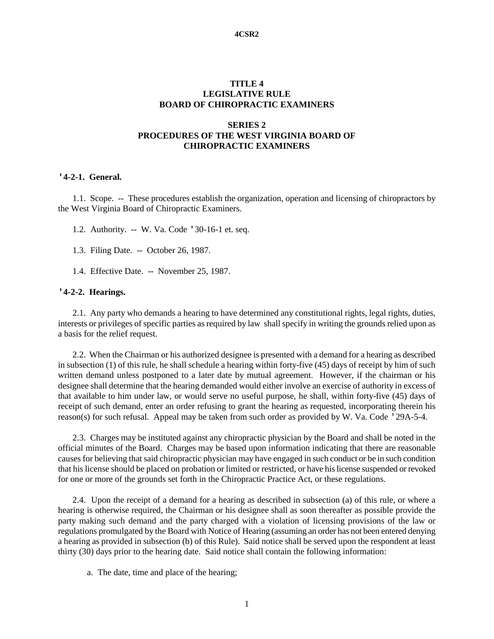#### **4CSR2**

### **TITLE 4 LEGISLATIVE RULE BOARD OF CHIROPRACTIC EXAMINERS**

# **SERIES 2 PROCEDURES OF THE WEST VIRGINIA BOARD OF CHIROPRACTIC EXAMINERS**

#### **'4-2-1. General.**

1.1. Scope. -- These procedures establish the organization, operation and licensing of chiropractors by the West Virginia Board of Chiropractic Examiners.

- 1.2. Authority. -- W. Va. Code '30-16-1 et. seq.
- 1.3. Filing Date. -- October 26, 1987.
- 1.4. Effective Date. -- November 25, 1987.

### **'4-2-2. Hearings.**

2.1. Any party who demands a hearing to have determined any constitutional rights, legal rights, duties, interests or privileges of specific parties as required by law shall specify in writing the grounds relied upon as a basis for the relief request.

2.2. When the Chairman or his authorized designee is presented with a demand for a hearing as described in subsection (1) of this rule, he shall schedule a hearing within forty-five (45) days of receipt by him of such written demand unless postponed to a later date by mutual agreement. However, if the chairman or his designee shall determine that the hearing demanded would either involve an exercise of authority in excess of that available to him under law, or would serve no useful purpose, he shall, within forty-five (45) days of receipt of such demand, enter an order refusing to grant the hearing as requested, incorporating therein his reason(s) for such refusal. Appeal may be taken from such order as provided by W. Va. Code '29A-5-4.

2.3. Charges may be instituted against any chiropractic physician by the Board and shall be noted in the official minutes of the Board. Charges may be based upon information indicating that there are reasonable causes for believing that said chiropractic physician may have engaged in such conduct or be in such condition that his license should be placed on probation or limited or restricted, or have his license suspended or revoked for one or more of the grounds set forth in the Chiropractic Practice Act, or these regulations.

2.4. Upon the receipt of a demand for a hearing as described in subsection (a) of this rule, or where a hearing is otherwise required, the Chairman or his designee shall as soon thereafter as possible provide the party making such demand and the party charged with a violation of licensing provisions of the law or regulations promulgated by the Board with Notice of Hearing (assuming an order has not been entered denying a hearing as provided in subsection (b) of this Rule). Said notice shall be served upon the respondent at least thirty (30) days prior to the hearing date. Said notice shall contain the following information:

a. The date, time and place of the hearing;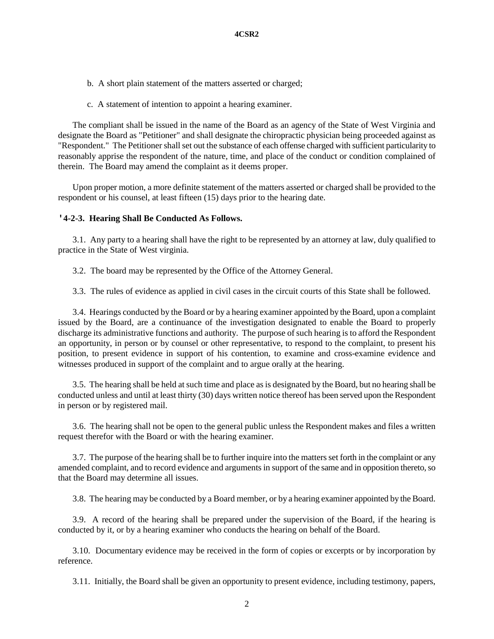- b. A short plain statement of the matters asserted or charged;
- c. A statement of intention to appoint a hearing examiner.

The compliant shall be issued in the name of the Board as an agency of the State of West Virginia and designate the Board as "Petitioner" and shall designate the chiropractic physician being proceeded against as "Respondent." The Petitioner shall set out the substance of each offense charged with sufficient particularity to reasonably apprise the respondent of the nature, time, and place of the conduct or condition complained of therein. The Board may amend the complaint as it deems proper.

Upon proper motion, a more definite statement of the matters asserted or charged shall be provided to the respondent or his counsel, at least fifteen (15) days prior to the hearing date.

### **'4-2-3. Hearing Shall Be Conducted As Follows.**

3.1. Any party to a hearing shall have the right to be represented by an attorney at law, duly qualified to practice in the State of West virginia.

3.2. The board may be represented by the Office of the Attorney General.

3.3. The rules of evidence as applied in civil cases in the circuit courts of this State shall be followed.

3.4. Hearings conducted by the Board or by a hearing examiner appointed by the Board, upon a complaint issued by the Board, are a continuance of the investigation designated to enable the Board to properly discharge its administrative functions and authority. The purpose of such hearing is to afford the Respondent an opportunity, in person or by counsel or other representative, to respond to the complaint, to present his position, to present evidence in support of his contention, to examine and cross-examine evidence and witnesses produced in support of the complaint and to argue orally at the hearing.

3.5. The hearing shall be held at such time and place as is designated by the Board, but no hearing shall be conducted unless and until at least thirty (30) days written notice thereof has been served upon the Respondent in person or by registered mail.

3.6. The hearing shall not be open to the general public unless the Respondent makes and files a written request therefor with the Board or with the hearing examiner.

3.7. The purpose of the hearing shall be to further inquire into the matters set forth in the complaint or any amended complaint, and to record evidence and arguments in support of the same and in opposition thereto, so that the Board may determine all issues.

3.8. The hearing may be conducted by a Board member, or by a hearing examiner appointed by the Board.

3.9. A record of the hearing shall be prepared under the supervision of the Board, if the hearing is conducted by it, or by a hearing examiner who conducts the hearing on behalf of the Board.

3.10. Documentary evidence may be received in the form of copies or excerpts or by incorporation by reference.

3.11. Initially, the Board shall be given an opportunity to present evidence, including testimony, papers,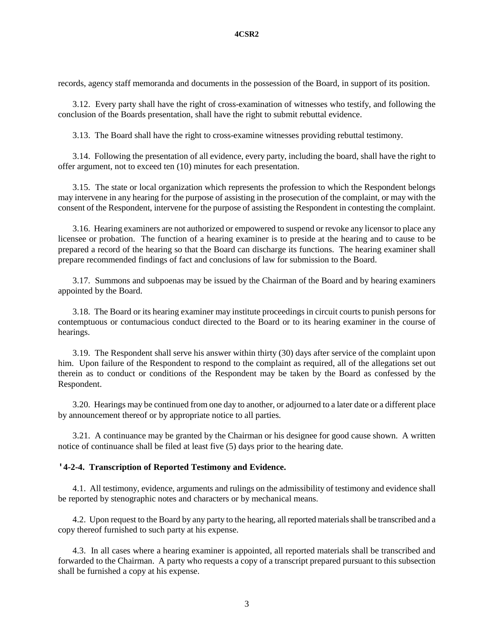records, agency staff memoranda and documents in the possession of the Board, in support of its position.

3.12. Every party shall have the right of cross-examination of witnesses who testify, and following the conclusion of the Boards presentation, shall have the right to submit rebuttal evidence.

3.13. The Board shall have the right to cross-examine witnesses providing rebuttal testimony.

3.14. Following the presentation of all evidence, every party, including the board, shall have the right to offer argument, not to exceed ten (10) minutes for each presentation.

3.15. The state or local organization which represents the profession to which the Respondent belongs may intervene in any hearing for the purpose of assisting in the prosecution of the complaint, or may with the consent of the Respondent, intervene for the purpose of assisting the Respondent in contesting the complaint.

3.16. Hearing examiners are not authorized or empowered to suspend or revoke any licensor to place any licensee or probation. The function of a hearing examiner is to preside at the hearing and to cause to be prepared a record of the hearing so that the Board can discharge its functions. The hearing examiner shall prepare recommended findings of fact and conclusions of law for submission to the Board.

3.17. Summons and subpoenas may be issued by the Chairman of the Board and by hearing examiners appointed by the Board.

3.18. The Board or its hearing examiner may institute proceedings in circuit courts to punish persons for contemptuous or contumacious conduct directed to the Board or to its hearing examiner in the course of hearings.

3.19. The Respondent shall serve his answer within thirty (30) days after service of the complaint upon him. Upon failure of the Respondent to respond to the complaint as required, all of the allegations set out therein as to conduct or conditions of the Respondent may be taken by the Board as confessed by the Respondent.

3.20. Hearings may be continued from one day to another, or adjourned to a later date or a different place by announcement thereof or by appropriate notice to all parties.

3.21. A continuance may be granted by the Chairman or his designee for good cause shown. A written notice of continuance shall be filed at least five (5) days prior to the hearing date.

#### **'4-2-4. Transcription of Reported Testimony and Evidence.**

4.1. All testimony, evidence, arguments and rulings on the admissibility of testimony and evidence shall be reported by stenographic notes and characters or by mechanical means.

4.2. Upon request to the Board by any party to the hearing, all reported materials shall be transcribed and a copy thereof furnished to such party at his expense.

4.3. In all cases where a hearing examiner is appointed, all reported materials shall be transcribed and forwarded to the Chairman. A party who requests a copy of a transcript prepared pursuant to this subsection shall be furnished a copy at his expense.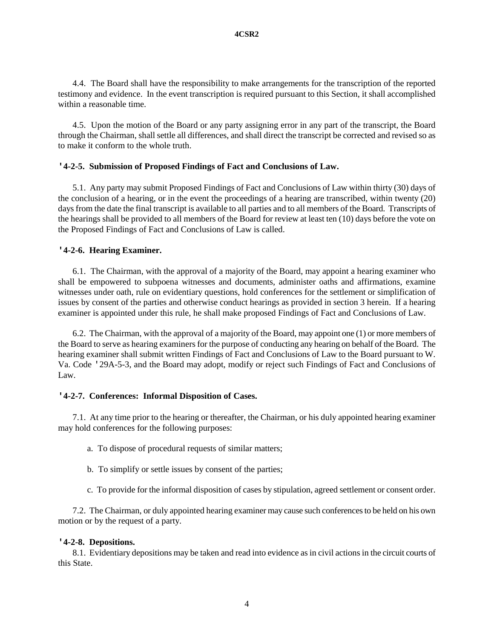4.4. The Board shall have the responsibility to make arrangements for the transcription of the reported testimony and evidence. In the event transcription is required pursuant to this Section, it shall accomplished within a reasonable time.

4.5. Upon the motion of the Board or any party assigning error in any part of the transcript, the Board through the Chairman, shall settle all differences, and shall direct the transcript be corrected and revised so as to make it conform to the whole truth.

## **'4-2-5. Submission of Proposed Findings of Fact and Conclusions of Law.**

5.1. Any party may submit Proposed Findings of Fact and Conclusions of Law within thirty (30) days of the conclusion of a hearing, or in the event the proceedings of a hearing are transcribed, within twenty (20) days from the date the final transcript is available to all parties and to all members of the Board. Transcripts of the hearings shall be provided to all members of the Board for review at least ten (10) days before the vote on the Proposed Findings of Fact and Conclusions of Law is called.

## **'4-2-6. Hearing Examiner.**

6.1. The Chairman, with the approval of a majority of the Board, may appoint a hearing examiner who shall be empowered to subpoena witnesses and documents, administer oaths and affirmations, examine witnesses under oath, rule on evidentiary questions, hold conferences for the settlement or simplification of issues by consent of the parties and otherwise conduct hearings as provided in section 3 herein. If a hearing examiner is appointed under this rule, he shall make proposed Findings of Fact and Conclusions of Law.

6.2. The Chairman, with the approval of a majority of the Board, may appoint one (1) or more members of the Board to serve as hearing examiners for the purpose of conducting any hearing on behalf of the Board. The hearing examiner shall submit written Findings of Fact and Conclusions of Law to the Board pursuant to W. Va. Code '29A-5-3, and the Board may adopt, modify or reject such Findings of Fact and Conclusions of Law.

### **'4-2-7. Conferences: Informal Disposition of Cases.**

7.1. At any time prior to the hearing or thereafter, the Chairman, or his duly appointed hearing examiner may hold conferences for the following purposes:

- a. To dispose of procedural requests of similar matters;
- b. To simplify or settle issues by consent of the parties;
- c. To provide for the informal disposition of cases by stipulation, agreed settlement or consent order.

7.2. The Chairman, or duly appointed hearing examiner may cause such conferences to be held on his own motion or by the request of a party.

### **'4-2-8. Depositions.**

8.1. Evidentiary depositions may be taken and read into evidence as in civil actions in the circuit courts of this State.